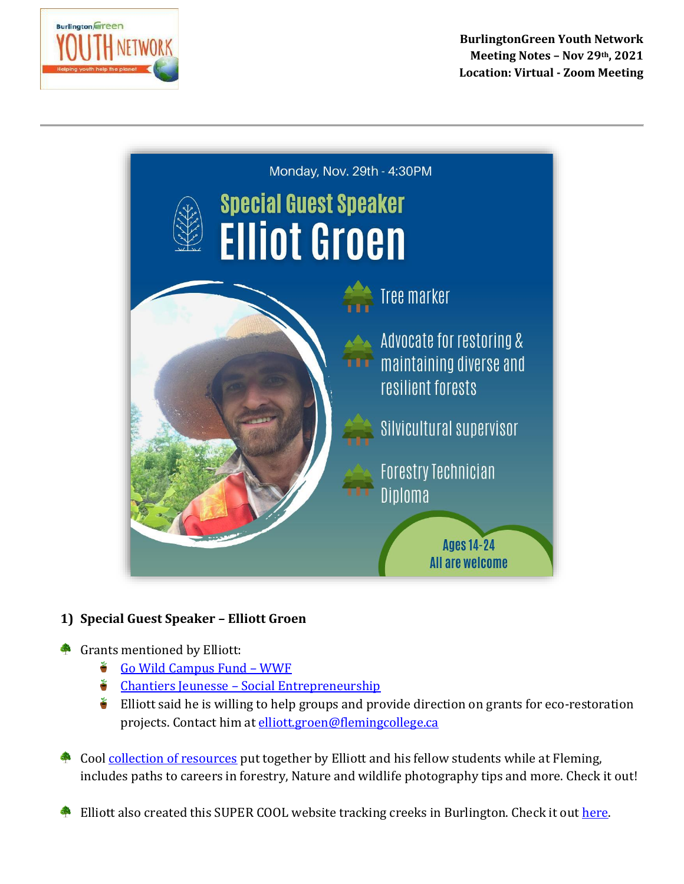



## **1) Special Guest Speaker – Elliott Groen**

## Grants mentioned by Elliott:

- [Go Wild Campus Fund](https://wwf.ca/take-action/apply-for-funding/go-wild-school-grants/)  WWF Ť
- $\bullet$  Chantiers Jeunesse [Social Entrepreneurship](https://www.cj.qc.ca/en/our-programs/chantiers-d-entrepreneuriat/)
- š. Elliott said he is willing to help groups and provide direction on grants for eco-restoration projects. Contact him a[t elliott.groen@flemingcollege.ca](mailto:elliott.groen@flemingcollege.ca)
- Cool [collection of resources](https://wakelet.com/@flemingforestry) put together by Elliott and his fellow students while at Fleming, includes paths to careers in forestry, Nature and wildlife photography tips and more. Check it out!
- Elliott also created this SUPER COOL website tracking creeks in Burlington. Check it out [here.](https://storymaps.arcgis.com/stories/cc3f17e9ed8d46208c44ce78fb6f3170)